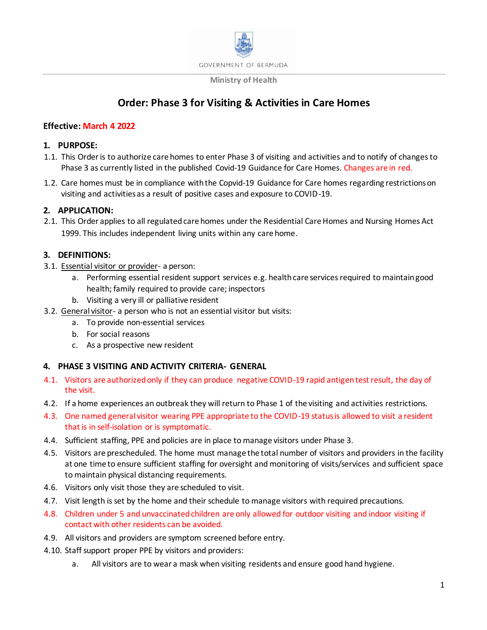

#### **Ministry of Health**

# **Order: Phase 3 for Visiting & Activities in Care Homes**

## **Effective: March 4 2022**

## **1. PURPOSE:**

- 1.1. This Orderis to authorize care homes to enter Phase 3 of visiting and activities and to notify of changes to Phase 3 as currently listed in the published Covid-19 Guidance for Care Homes. Changes are in red.
- 1.2. Care homes must be in compliance with the Copvid-19 Guidance for Care homes regarding restrictions on visiting and activities as a result of positive cases and exposure to COVID-19.

# **2. APPLICATION:**

2.1. This Order applies to all regulated care homes under the Residential Care Homes and Nursing Homes Act 1999. This includes independent living units within any care home.

# **3. DEFINITIONS:**

- 3.1. Essential visitor or provider- a person:
	- a. Performing essential resident support services e.g. health care services required to maintain good health; family required to provide care; inspectors
	- b. Visiting a very ill or palliative resident
- 3.2. General visitor- a person who is not an essential visitor but visits:
	- a. To provide non-essential services
	- b. For social reasons
	- c. As a prospective new resident

## **4. PHASE 3 VISITING AND ACTIVITY CRITERIA- GENERAL**

- 4.1. Visitors are authorized only if they can produce negative COVID-19 rapid antigen test result, the day of the visit.
- 4.2. If a home experiences an outbreak they will return to Phase 1 of the visiting and activities restrictions.
- 4.3. One named general visitor wearing PPE appropriate to the COVID-19 statusis allowed to visit a resident that is in self-isolation or is symptomatic.
- 4.4. Sufficient staffing, PPE and policies are in place to manage visitors under Phase 3.
- 4.5. Visitors are prescheduled. The home must manage the total number of visitors and providers in the facility at one time to ensure sufficient staffing for oversight and monitoring of visits/services and sufficient space to maintain physical distancing requirements.
- 4.6. Visitors only visit those they are scheduled to visit.
- 4.7. Visit length is set by the home and their schedule to manage visitors with required precautions.
- 4.8. Children under 5 and unvaccinated children are only allowed for outdoor visiting and indoor visiting if contact with other residents can be avoided.
- 4.9. All visitors and providers are symptom screened before entry.
- 4.10. Staff support proper PPE by visitors and providers:
	- a. All visitors are to wear a mask when visiting residents and ensure good hand hygiene.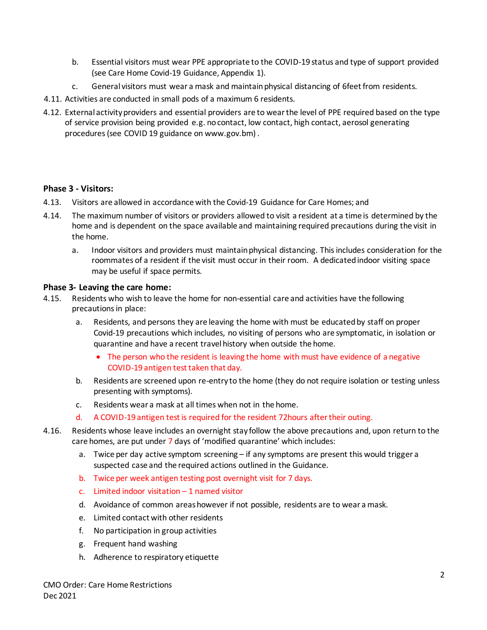- b. Essential visitors must wear PPE appropriate to the COVID-19 status and type of support provided (see Care Home Covid-19 Guidance, Appendix 1).
- c. General visitors must wear a mask and maintain physical distancing of 6feet from residents.
- 4.11. Activities are conducted in small pods of a maximum 6 residents.
- 4.12. External activity providers and essential providers are to wear the level of PPE required based on the type of service provision being provided e.g. no contact, low contact, high contact, aerosol generating procedures (see COVID 19 guidance on www.gov.bm) .

## **Phase 3 - Visitors:**

- 4.13. Visitors are allowed in accordance with the Covid-19 Guidance for Care Homes; and
- 4.14. The maximum number of visitors or providers allowed to visit a resident at a time is determined by the home and is dependent on the space available and maintaining required precautions during the visit in the home.
	- a. Indoor visitors and providers must maintain physical distancing. This includes consideration for the roommates of a resident if the visit must occur in their room. A dedicated indoor visiting space may be useful if space permits.

#### **Phase 3- Leaving the care home:**

- 4.15. Residents who wish to leave the home for non-essential care and activities have the following precautions in place:
	- a. Residents, and persons they are leaving the home with must be educated by staff on proper Covid-19 precautions which includes, no visiting of persons who are symptomatic, in isolation or quarantine and have a recent travel history when outside the home.
		- The person who the resident is leaving the home with must have evidence of a negative COVID-19 antigen test taken that day.
	- b. Residents are screened upon re-entry to the home (they do not require isolation or testing unless presenting with symptoms).
	- c. Residents wear a mask at all times when not in the home.
	- d. A COVID-19 antigen test is required for the resident 72hours after their outing.
- 4.16. Residents whose leave includes an overnight stay follow the above precautions and, upon return to the care homes, are put under 7 days of 'modified quarantine' which includes:
	- a. Twice per day active symptom screening if any symptoms are present this would trigger a suspected case and the required actions outlined in the Guidance.
	- b. Twice per week antigen testing post overnight visit for 7 days.
	- c. Limited indoor visitation  $-1$  named visitor
	- d. Avoidance of common areas however if not possible, residents are to wear a mask.
	- e. Limited contact with other residents
	- f. No participation in group activities
	- g. Frequent hand washing
	- h. Adherence to respiratory etiquette